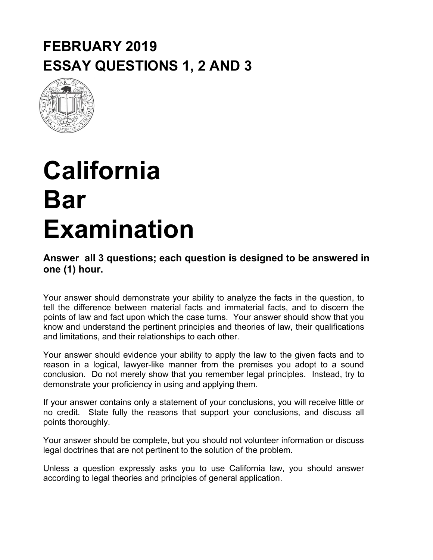## **FEBRUARY 2019 ESSAY QUESTIONS 1, 2 AND 3**



## **California Bar Examination**

#### **Answer all 3 questions; each question is designed to be answered in one (1) hour.**

Your answer should demonstrate your ability to analyze the facts in the question, to tell the difference between material facts and immaterial facts, and to discern the points of law and fact upon which the case turns. Your answer should show that you know and understand the pertinent principles and theories of law, their qualifications and limitations, and their relationships to each other.

Your answer should evidence your ability to apply the law to the given facts and to reason in a logical, lawyer-like manner from the premises you adopt to a sound conclusion. Do not merely show that you remember legal principles. Instead, try to demonstrate your proficiency in using and applying them.

If your answer contains only a statement of your conclusions, you will receive little or no credit. State fully the reasons that support your conclusions, and discuss all points thoroughly.

Your answer should be complete, but you should not volunteer information or discuss legal doctrines that are not pertinent to the solution of the problem.

Unless a question expressly asks you to use California law, you should answer according to legal theories and principles of general application.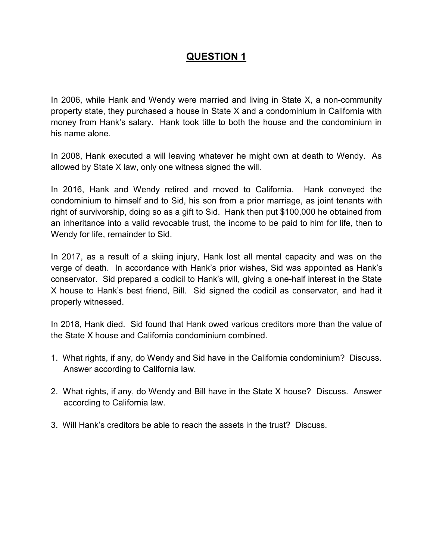In 2006, while Hank and Wendy were married and living in State X, a non-community property state, they purchased a house in State X and a condominium in California with money from Hank's salary. Hank took title to both the house and the condominium in his name alone.

In 2008, Hank executed a will leaving whatever he might own at death to Wendy. As allowed by State X law, only one witness signed the will.

In 2016, Hank and Wendy retired and moved to California. Hank conveyed the condominium to himself and to Sid, his son from a prior marriage, as joint tenants with right of survivorship, doing so as a gift to Sid. Hank then put \$100,000 he obtained from an inheritance into a valid revocable trust, the income to be paid to him for life, then to Wendy for life, remainder to Sid.

In 2017, as a result of a skiing injury, Hank lost all mental capacity and was on the verge of death. In accordance with Hank's prior wishes, Sid was appointed as Hank's conservator. Sid prepared a codicil to Hank's will, giving a one-half interest in the State X house to Hank's best friend, Bill. Sid signed the codicil as conservator, and had it properly witnessed.

In 2018, Hank died. Sid found that Hank owed various creditors more than the value of the State X house and California condominium combined.

- 1. What rights, if any, do Wendy and Sid have in the California condominium? Discuss. Answer according to California law.
- 2. What rights, if any, do Wendy and Bill have in the State X house? Discuss. Answer according to California law.
- 3. Will Hank's creditors be able to reach the assets in the trust? Discuss.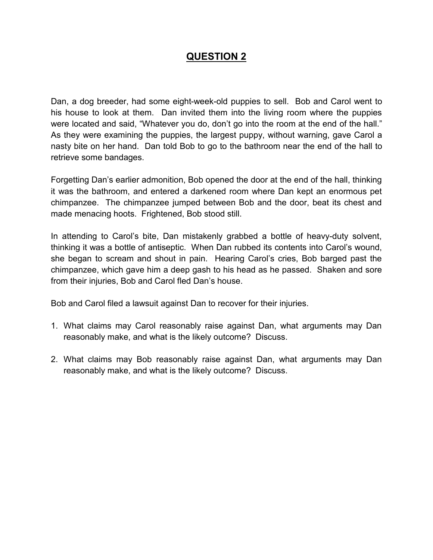Dan, a dog breeder, had some eight-week-old puppies to sell. Bob and Carol went to his house to look at them. Dan invited them into the living room where the puppies were located and said, "Whatever you do, don't go into the room at the end of the hall." As they were examining the puppies, the largest puppy, without warning, gave Carol a nasty bite on her hand. Dan told Bob to go to the bathroom near the end of the hall to retrieve some bandages.

Forgetting Dan's earlier admonition, Bob opened the door at the end of the hall, thinking it was the bathroom, and entered a darkened room where Dan kept an enormous pet chimpanzee. The chimpanzee jumped between Bob and the door, beat its chest and made menacing hoots. Frightened, Bob stood still.

In attending to Carol's bite, Dan mistakenly grabbed a bottle of heavy-duty solvent, thinking it was a bottle of antiseptic. When Dan rubbed its contents into Carol's wound, she began to scream and shout in pain. Hearing Carol's cries, Bob barged past the chimpanzee, which gave him a deep gash to his head as he passed. Shaken and sore from their injuries, Bob and Carol fled Dan's house.

Bob and Carol filed a lawsuit against Dan to recover for their injuries.

- 1. What claims may Carol reasonably raise against Dan, what arguments may Dan reasonably make, and what is the likely outcome? Discuss.
- 2. What claims may Bob reasonably raise against Dan, what arguments may Dan reasonably make, and what is the likely outcome? Discuss.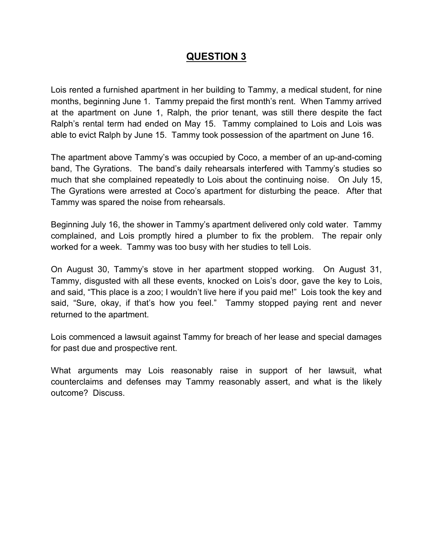Lois rented a furnished apartment in her building to Tammy, a medical student, for nine months, beginning June 1. Tammy prepaid the first month's rent. When Tammy arrived at the apartment on June 1, Ralph, the prior tenant, was still there despite the fact Ralph's rental term had ended on May 15. Tammy complained to Lois and Lois was able to evict Ralph by June 15. Tammy took possession of the apartment on June 16.

The apartment above Tammy's was occupied by Coco, a member of an up-and-coming band, The Gyrations. The band's daily rehearsals interfered with Tammy's studies so much that she complained repeatedly to Lois about the continuing noise. On July 15, The Gyrations were arrested at Coco's apartment for disturbing the peace. After that Tammy was spared the noise from rehearsals.

Beginning July 16, the shower in Tammy's apartment delivered only cold water. Tammy complained, and Lois promptly hired a plumber to fix the problem. The repair only worked for a week. Tammy was too busy with her studies to tell Lois.

On August 30, Tammy's stove in her apartment stopped working. On August 31, Tammy, disgusted with all these events, knocked on Lois's door, gave the key to Lois, and said, "This place is a zoo; I wouldn't live here if you paid me!" Lois took the key and said, "Sure, okay, if that's how you feel." Tammy stopped paying rent and never returned to the apartment.

Lois commenced a lawsuit against Tammy for breach of her lease and special damages for past due and prospective rent.

What arguments may Lois reasonably raise in support of her lawsuit, what counterclaims and defenses may Tammy reasonably assert, and what is the likely outcome? Discuss.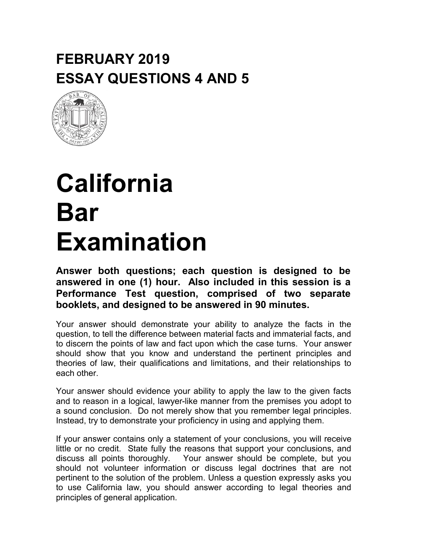## **FEBRUARY 2019 ESSAY QUESTIONS 4 AND 5**



## **California Bar Examination**

**Answer both questions; each question is designed to be answered in one (1) hour. Also included in this session is a Performance Test question, comprised of two separate booklets, and designed to be answered in 90 minutes.**

Your answer should demonstrate your ability to analyze the facts in the question, to tell the difference between material facts and immaterial facts, and to discern the points of law and fact upon which the case turns. Your answer should show that you know and understand the pertinent principles and theories of law, their qualifications and limitations, and their relationships to each other.

Your answer should evidence your ability to apply the law to the given facts and to reason in a logical, lawyer-like manner from the premises you adopt to a sound conclusion. Do not merely show that you remember legal principles. Instead, try to demonstrate your proficiency in using and applying them.

If your answer contains only a statement of your conclusions, you will receive little or no credit. State fully the reasons that support your conclusions, and discuss all points thoroughly. Your answer should be complete, but you should not volunteer information or discuss legal doctrines that are not pertinent to the solution of the problem. Unless a question expressly asks you to use California law, you should answer according to legal theories and principles of general application.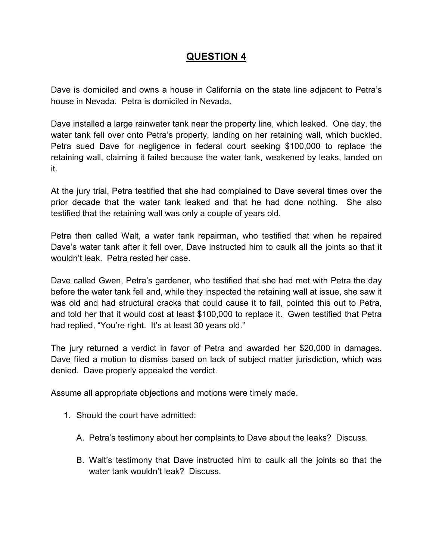Dave is domiciled and owns a house in California on the state line adjacent to Petra's house in Nevada. Petra is domiciled in Nevada.

Dave installed a large rainwater tank near the property line, which leaked. One day, the water tank fell over onto Petra's property, landing on her retaining wall, which buckled. Petra sued Dave for negligence in federal court seeking \$100,000 to replace the retaining wall, claiming it failed because the water tank, weakened by leaks, landed on it.

At the jury trial, Petra testified that she had complained to Dave several times over the prior decade that the water tank leaked and that he had done nothing. She also testified that the retaining wall was only a couple of years old.

Petra then called Walt, a water tank repairman, who testified that when he repaired Dave's water tank after it fell over, Dave instructed him to caulk all the joints so that it wouldn't leak. Petra rested her case.

Dave called Gwen, Petra's gardener, who testified that she had met with Petra the day before the water tank fell and, while they inspected the retaining wall at issue, she saw it was old and had structural cracks that could cause it to fail, pointed this out to Petra, and told her that it would cost at least \$100,000 to replace it. Gwen testified that Petra had replied, "You're right. It's at least 30 years old."

The jury returned a verdict in favor of Petra and awarded her \$20,000 in damages. Dave filed a motion to dismiss based on lack of subject matter jurisdiction, which was denied. Dave properly appealed the verdict.

Assume all appropriate objections and motions were timely made.

- 1. Should the court have admitted:
	- A. Petra's testimony about her complaints to Dave about the leaks? Discuss.
	- B. Walt's testimony that Dave instructed him to caulk all the joints so that the water tank wouldn't leak? Discuss.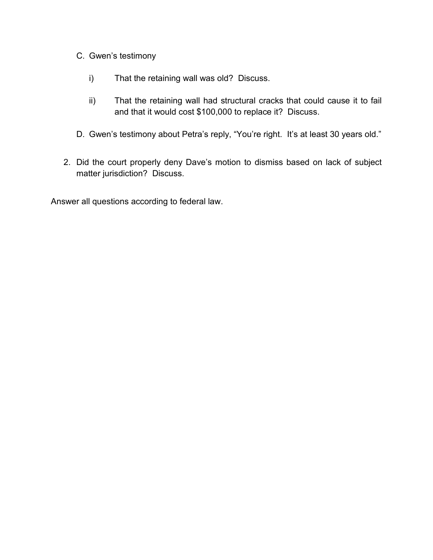- C. Gwen's testimony
	- i) That the retaining wall was old? Discuss.
	- ii) That the retaining wall had structural cracks that could cause it to fail and that it would cost \$100,000 to replace it? Discuss.
- D. Gwen's testimony about Petra's reply, "You're right. It's at least 30 years old."
- 2. Did the court properly deny Dave's motion to dismiss based on lack of subject matter jurisdiction? Discuss.

Answer all questions according to federal law.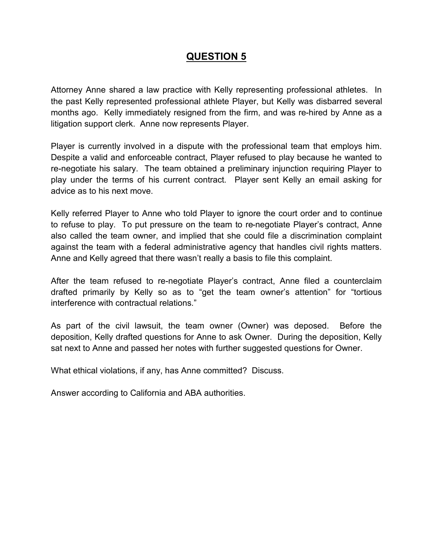Attorney Anne shared a law practice with Kelly representing professional athletes. In the past Kelly represented professional athlete Player, but Kelly was disbarred several months ago. Kelly immediately resigned from the firm, and was re-hired by Anne as a litigation support clerk. Anne now represents Player.

Player is currently involved in a dispute with the professional team that employs him. Despite a valid and enforceable contract, Player refused to play because he wanted to re-negotiate his salary. The team obtained a preliminary injunction requiring Player to play under the terms of his current contract. Player sent Kelly an email asking for advice as to his next move.

Kelly referred Player to Anne who told Player to ignore the court order and to continue to refuse to play. To put pressure on the team to re-negotiate Player's contract, Anne also called the team owner, and implied that she could file a discrimination complaint against the team with a federal administrative agency that handles civil rights matters. Anne and Kelly agreed that there wasn't really a basis to file this complaint.

After the team refused to re-negotiate Player's contract, Anne filed a counterclaim drafted primarily by Kelly so as to "get the team owner's attention" for "tortious interference with contractual relations."

As part of the civil lawsuit, the team owner (Owner) was deposed. Before the deposition, Kelly drafted questions for Anne to ask Owner. During the deposition, Kelly sat next to Anne and passed her notes with further suggested questions for Owner.

What ethical violations, if any, has Anne committed? Discuss.

Answer according to California and ABA authorities.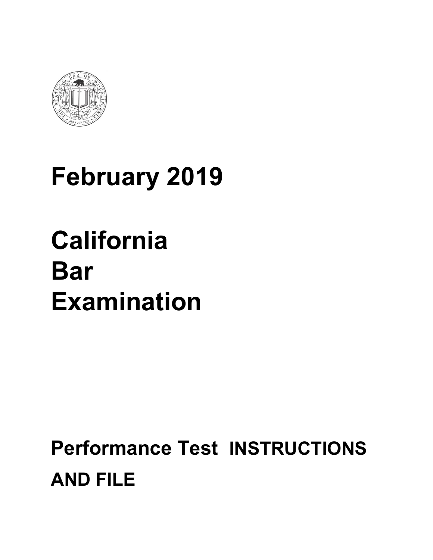

## **February 2019**

## **California Bar Examination**

## **Performance Test INSTRUCTIONS AND FILE**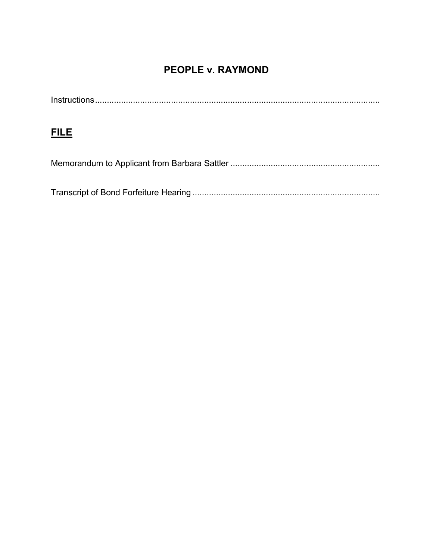## **PEOPLE v. RAYMOND**

## **FILE**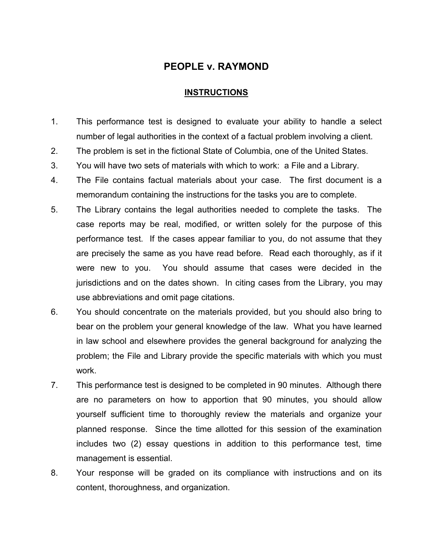#### **PEOPLE v. RAYMOND**

#### **INSTRUCTIONS**

- 1. This performance test is designed to evaluate your ability to handle a select number of legal authorities in the context of a factual problem involving a client.
- 2. The problem is set in the fictional State of Columbia, one of the United States.
- 3. You will have two sets of materials with which to work: a File and a Library.
- 4. The File contains factual materials about your case. The first document is a memorandum containing the instructions for the tasks you are to complete.
- 5. The Library contains the legal authorities needed to complete the tasks. The case reports may be real, modified, or written solely for the purpose of this performance test. If the cases appear familiar to you, do not assume that they are precisely the same as you have read before. Read each thoroughly, as if it were new to you. You should assume that cases were decided in the jurisdictions and on the dates shown. In citing cases from the Library, you may use abbreviations and omit page citations.
- 6. You should concentrate on the materials provided, but you should also bring to bear on the problem your general knowledge of the law. What you have learned in law school and elsewhere provides the general background for analyzing the problem; the File and Library provide the specific materials with which you must work.
- 7. This performance test is designed to be completed in 90 minutes. Although there are no parameters on how to apportion that 90 minutes, you should allow yourself sufficient time to thoroughly review the materials and organize your planned response. Since the time allotted for this session of the examination includes two (2) essay questions in addition to this performance test, time management is essential.
- 8. Your response will be graded on its compliance with instructions and on its content, thoroughness, and organization.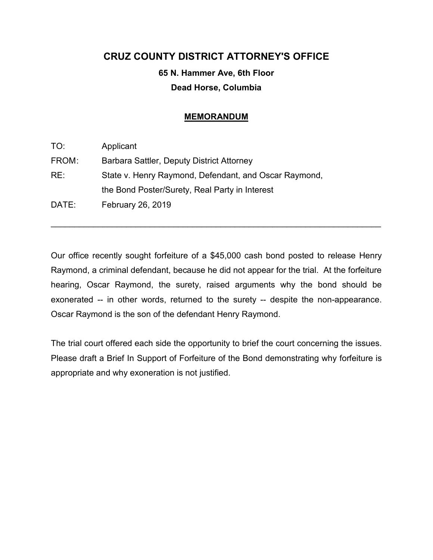#### **CRUZ COUNTY DISTRICT ATTORNEY'S OFFICE**

### **65 N. Hammer Ave, 6th Floor Dead Horse, Columbia**

#### **MEMORANDUM**

| TO:   | Applicant                                             |
|-------|-------------------------------------------------------|
| FROM: | Barbara Sattler, Deputy District Attorney             |
| RE:   | State v. Henry Raymond, Defendant, and Oscar Raymond, |
|       | the Bond Poster/Surety, Real Party in Interest        |
| DATE: | February 26, 2019                                     |

Our office recently sought forfeiture of a \$45,000 cash bond posted to release Henry Raymond, a criminal defendant, because he did not appear for the trial. At the forfeiture hearing, Oscar Raymond, the surety, raised arguments why the bond should be exonerated -- in other words, returned to the surety -- despite the non-appearance. Oscar Raymond is the son of the defendant Henry Raymond.

 $\mathcal{L}_\text{max}$  and  $\mathcal{L}_\text{max}$  and  $\mathcal{L}_\text{max}$  and  $\mathcal{L}_\text{max}$  and  $\mathcal{L}_\text{max}$  and  $\mathcal{L}_\text{max}$ 

The trial court offered each side the opportunity to brief the court concerning the issues. Please draft a Brief In Support of Forfeiture of the Bond demonstrating why forfeiture is appropriate and why exoneration is not justified.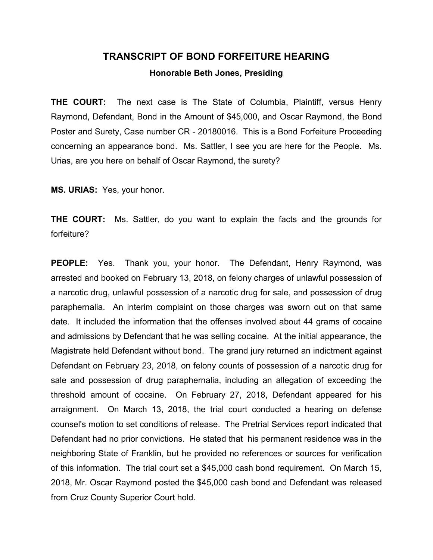#### **TRANSCRIPT OF BOND FORFEITURE HEARING**

**Honorable Beth Jones, Presiding**

**THE COURT:** The next case is The State of Columbia, Plaintiff, versus Henry Raymond, Defendant, Bond in the Amount of \$45,000, and Oscar Raymond, the Bond Poster and Surety, Case number CR - 20180016. This is a Bond Forfeiture Proceeding concerning an appearance bond. Ms. Sattler, I see you are here for the People. Ms. Urias, are you here on behalf of Oscar Raymond, the surety?

**MS. URIAS:** Yes, your honor.

**THE COURT:** Ms. Sattler, do you want to explain the facts and the grounds for forfeiture?

**PEOPLE:** Yes. Thank you, your honor. The Defendant, Henry Raymond, was arrested and booked on February 13, 2018, on felony charges of unlawful possession of a narcotic drug, unlawful possession of a narcotic drug for sale, and possession of drug paraphernalia. An interim complaint on those charges was sworn out on that same date. It included the information that the offenses involved about 44 grams of cocaine and admissions by Defendant that he was selling cocaine. At the initial appearance, the Magistrate held Defendant without bond. The grand jury returned an indictment against Defendant on February 23, 2018, on felony counts of possession of a narcotic drug for sale and possession of drug paraphernalia, including an allegation of exceeding the threshold amount of cocaine. On February 27, 2018, Defendant appeared for his arraignment. On March 13, 2018, the trial court conducted a hearing on defense counsel's motion to set conditions of release. The Pretrial Services report indicated that Defendant had no prior convictions. He stated that his permanent residence was in the neighboring State of Franklin, but he provided no references or sources for verification of this information. The trial court set a \$45,000 cash bond requirement. On March 15, 2018, Mr. Oscar Raymond posted the \$45,000 cash bond and Defendant was released from Cruz County Superior Court hold.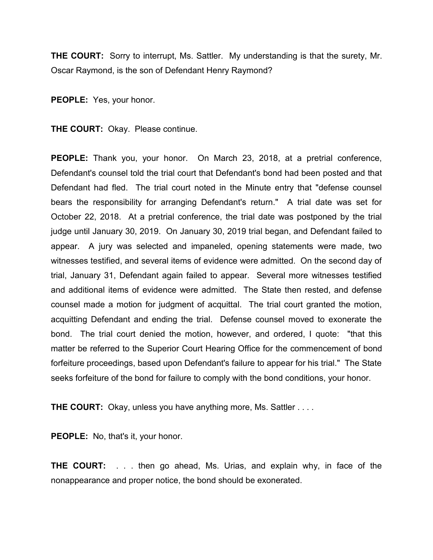**THE COURT:** Sorry to interrupt, Ms. Sattler. My understanding is that the surety, Mr. Oscar Raymond, is the son of Defendant Henry Raymond?

**PEOPLE:** Yes, your honor.

**THE COURT:** Okay. Please continue.

**PEOPLE:** Thank you, your honor. On March 23, 2018, at a pretrial conference, Defendant's counsel told the trial court that Defendant's bond had been posted and that Defendant had fled. The trial court noted in the Minute entry that "defense counsel bears the responsibility for arranging Defendant's return." A trial date was set for October 22, 2018. At a pretrial conference, the trial date was postponed by the trial judge until January 30, 2019. On January 30, 2019 trial began, and Defendant failed to appear. A jury was selected and impaneled, opening statements were made, two witnesses testified, and several items of evidence were admitted. On the second day of trial, January 31, Defendant again failed to appear. Several more witnesses testified and additional items of evidence were admitted. The State then rested, and defense counsel made a motion for judgment of acquittal. The trial court granted the motion, acquitting Defendant and ending the trial. Defense counsel moved to exonerate the bond. The trial court denied the motion, however, and ordered, I quote: "that this matter be referred to the Superior Court Hearing Office for the commencement of bond forfeiture proceedings, based upon Defendant's failure to appear for his trial." The State seeks forfeiture of the bond for failure to comply with the bond conditions, your honor.

**THE COURT:** Okay, unless you have anything more, Ms. Sattler . . . .

PEOPLE: No, that's it, your honor.

**THE COURT:** . . . then go ahead, Ms. Urias, and explain why, in face of the nonappearance and proper notice, the bond should be exonerated.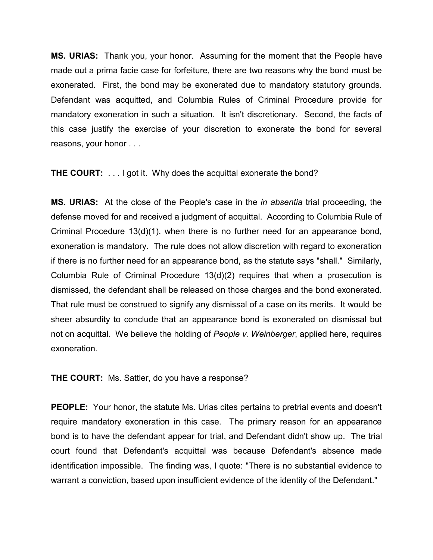**MS. URIAS:** Thank you, your honor. Assuming for the moment that the People have made out a prima facie case for forfeiture, there are two reasons why the bond must be exonerated. First, the bond may be exonerated due to mandatory statutory grounds. Defendant was acquitted, and Columbia Rules of Criminal Procedure provide for mandatory exoneration in such a situation. It isn't discretionary. Second, the facts of this case justify the exercise of your discretion to exonerate the bond for several reasons, your honor . . .

**THE COURT:** . . . I got it. Why does the acquittal exonerate the bond?

**MS. URIAS:** At the close of the People's case in the *in absentia* trial proceeding, the defense moved for and received a judgment of acquittal. According to Columbia Rule of Criminal Procedure 13(d)(1), when there is no further need for an appearance bond, exoneration is mandatory. The rule does not allow discretion with regard to exoneration if there is no further need for an appearance bond, as the statute says "shall." Similarly, Columbia Rule of Criminal Procedure 13(d)(2) requires that when a prosecution is dismissed, the defendant shall be released on those charges and the bond exonerated. That rule must be construed to signify any dismissal of a case on its merits. It would be sheer absurdity to conclude that an appearance bond is exonerated on dismissal but not on acquittal. We believe the holding of *People v. Weinberger*, applied here, requires exoneration.

**THE COURT:** Ms. Sattler, do you have a response?

**PEOPLE:** Your honor, the statute Ms. Urias cites pertains to pretrial events and doesn't require mandatory exoneration in this case. The primary reason for an appearance bond is to have the defendant appear for trial, and Defendant didn't show up. The trial court found that Defendant's acquittal was because Defendant's absence made identification impossible. The finding was, I quote: "There is no substantial evidence to warrant a conviction, based upon insufficient evidence of the identity of the Defendant."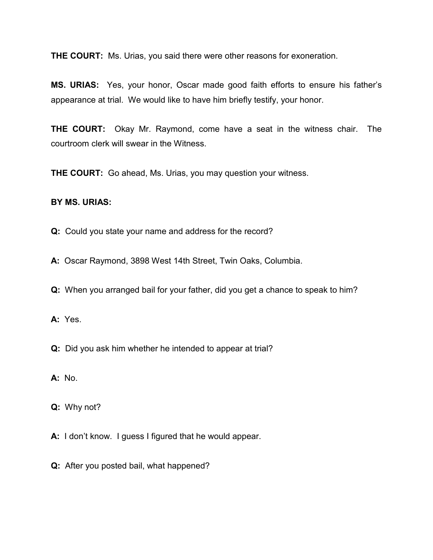**THE COURT:** Ms. Urias, you said there were other reasons for exoneration.

**MS. URIAS:** Yes, your honor, Oscar made good faith efforts to ensure his father's appearance at trial. We would like to have him briefly testify, your honor.

**THE COURT:** Okay Mr. Raymond, come have a seat in the witness chair. The courtroom clerk will swear in the Witness.

**THE COURT:** Go ahead, Ms. Urias, you may question your witness.

#### **BY MS. URIAS:**

**Q:** Could you state your name and address for the record?

**A:** Oscar Raymond, 3898 West 14th Street, Twin Oaks, Columbia.

**Q:** When you arranged bail for your father, did you get a chance to speak to him?

**A:** Yes.

**Q:** Did you ask him whether he intended to appear at trial?

**A:** No.

**Q:** Why not?

**A:** I don't know. I guess I figured that he would appear.

**Q:** After you posted bail, what happened?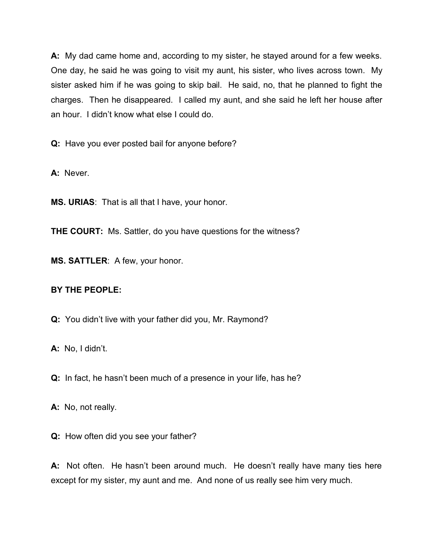**A:** My dad came home and, according to my sister, he stayed around for a few weeks. One day, he said he was going to visit my aunt, his sister, who lives across town. My sister asked him if he was going to skip bail. He said, no, that he planned to fight the charges. Then he disappeared. I called my aunt, and she said he left her house after an hour. I didn't know what else I could do.

**Q:** Have you ever posted bail for anyone before?

**A:** Never.

**MS. URIAS**: That is all that I have, your honor.

**THE COURT:** Ms. Sattler, do you have questions for the witness?

**MS. SATTLER**: A few, your honor.

#### **BY THE PEOPLE:**

**Q:** You didn't live with your father did you, Mr. Raymond?

**A:** No, I didn't.

**Q:** In fact, he hasn't been much of a presence in your life, has he?

**A:** No, not really.

**Q:** How often did you see your father?

**A:** Not often. He hasn't been around much. He doesn't really have many ties here except for my sister, my aunt and me. And none of us really see him very much.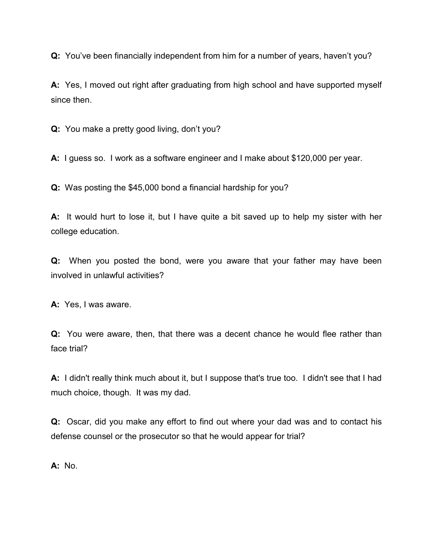**Q:** You've been financially independent from him for a number of years, haven't you?

**A:** Yes, I moved out right after graduating from high school and have supported myself since then.

**Q:** You make a pretty good living, don't you?

**A:** I guess so. I work as a software engineer and I make about \$120,000 per year.

**Q:** Was posting the \$45,000 bond a financial hardship for you?

**A:** It would hurt to lose it, but I have quite a bit saved up to help my sister with her college education.

**Q:** When you posted the bond, were you aware that your father may have been involved in unlawful activities?

**A:** Yes, I was aware.

**Q:** You were aware, then, that there was a decent chance he would flee rather than face trial?

**A:** I didn't really think much about it, but I suppose that's true too. I didn't see that I had much choice, though. It was my dad.

**Q:** Oscar, did you make any effort to find out where your dad was and to contact his defense counsel or the prosecutor so that he would appear for trial?

**A:** No.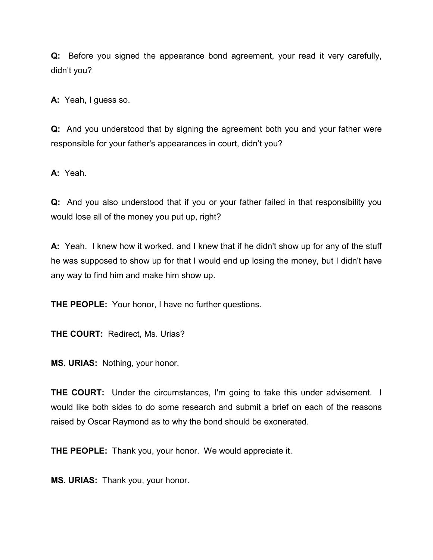**Q:** Before you signed the appearance bond agreement, your read it very carefully, didn't you?

**A:** Yeah, I guess so.

**Q:** And you understood that by signing the agreement both you and your father were responsible for your father's appearances in court, didn't you?

**A:** Yeah.

**Q:** And you also understood that if you or your father failed in that responsibility you would lose all of the money you put up, right?

**A:** Yeah. I knew how it worked, and I knew that if he didn't show up for any of the stuff he was supposed to show up for that I would end up losing the money, but I didn't have any way to find him and make him show up.

**THE PEOPLE:** Your honor, I have no further questions.

**THE COURT:** Redirect, Ms. Urias?

**MS. URIAS:** Nothing, your honor.

**THE COURT:** Under the circumstances, I'm going to take this under advisement. I would like both sides to do some research and submit a brief on each of the reasons raised by Oscar Raymond as to why the bond should be exonerated.

**THE PEOPLE:** Thank you, your honor. We would appreciate it.

**MS. URIAS:** Thank you, your honor.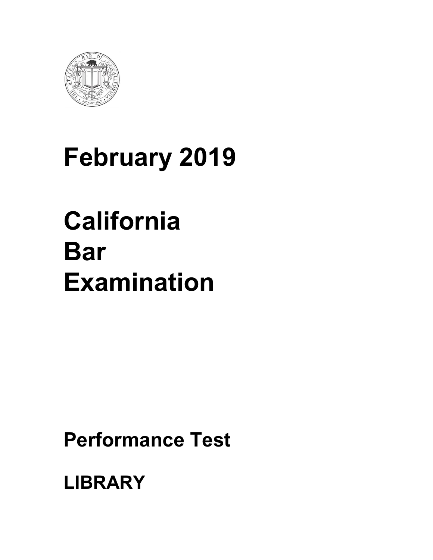

# **February 2019**

# **California Bar Examination**

**Performance Test** 

**LIBRARY**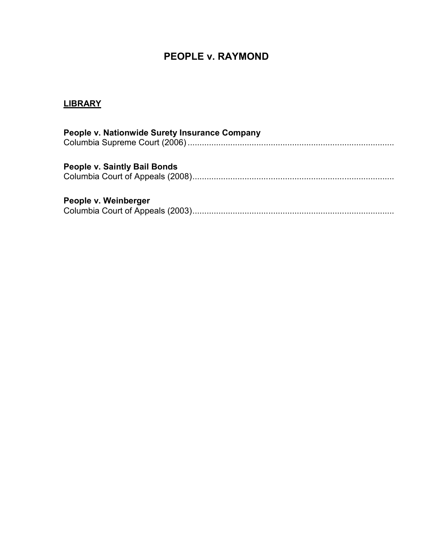### **PEOPLE v. RAYMOND**

## **LIBRARY**

| People v. Nationwide Surety Insurance Company |
|-----------------------------------------------|
| <b>People v. Saintly Bail Bonds</b>           |
| People v. Weinberger                          |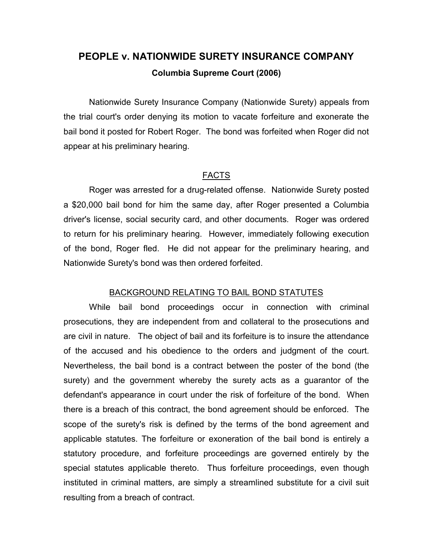## **PEOPLE v. NATIONWIDE SURETY INSURANCE COMPANY Columbia Supreme Court (2006)**

Nationwide Surety Insurance Company (Nationwide Surety) appeals from the trial court's order denying its motion to vacate forfeiture and exonerate the bail bond it posted for Robert Roger. The bond was forfeited when Roger did not appear at his preliminary hearing.

#### FACTS

Roger was arrested for a drug-related offense. Nationwide Surety posted a \$20,000 bail bond for him the same day, after Roger presented a Columbia driver's license, social security card, and other documents. Roger was ordered to return for his preliminary hearing. However, immediately following execution of the bond, Roger fled. He did not appear for the preliminary hearing, and Nationwide Surety's bond was then ordered forfeited.

#### BACKGROUND RELATING TO BAIL BOND STATUTES

While bail bond proceedings occur in connection with criminal prosecutions, they are independent from and collateral to the prosecutions and are civil in nature. The object of bail and its forfeiture is to insure the attendance of the accused and his obedience to the orders and judgment of the court. Nevertheless, the bail bond is a contract between the poster of the bond (the surety) and the government whereby the surety acts as a guarantor of the defendant's appearance in court under the risk of forfeiture of the bond. When there is a breach of this contract, the bond agreement should be enforced. The scope of the surety's risk is defined by the terms of the bond agreement and applicable statutes. The forfeiture or exoneration of the bail bond is entirely a statutory procedure, and forfeiture proceedings are governed entirely by the special statutes applicable thereto. Thus forfeiture proceedings, even though instituted in criminal matters, are simply a streamlined substitute for a civil suit resulting from a breach of contract.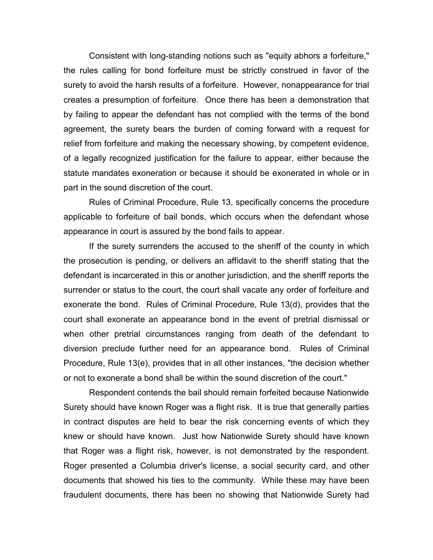Consistent with long-standing notions such as "equity abhors a forfeiture," the rules calling for bond forfeiture must be strictly construed in favor of the surety to avoid the harsh results of a forfeiture. However, nonappearance for trial creates a presumption of forfeiture. Once there has been a demonstration that by failing to appear the defendant has not complied with the terms of the bond agreement, the surety bears the burden of coming forward with a request for relief from forfeiture and making the necessary showing, by competent evidence, of a legally recognized justification for the failure to appear, either because the statute mandates exoneration or because it should be exonerated in whole or in part in the sound discretion of the court.

Rules of Criminal Procedure, Rule 13, specifically concerns the procedure applicable to forfeiture of bail bonds, which occurs when the defendant whose appearance in court is assured by the bond fails to appear.

If the surety surrenders the accused to the sheriff of the county in which the prosecution is pending, or delivers an affidavit to the sheriff stating that the defendant is incarcerated in this or another jurisdiction, and the sheriff reports the surrender or status to the court, the court shall vacate any order of forfeiture and exonerate the bond. Rules of Criminal Procedure, Rule 13(d), provides that the court shall exonerate an appearance bond in the event of pretrial dismissal or when other pretrial circumstances ranging from death of the defendant to diversion preclude further need for an appearance bond. Rules of Criminal Procedure, Rule 13(e), provides that in all other instances, "the decision whether or not to exonerate a bond shall be within the sound discretion of the court."

Respondent contends the bail should remain forfeited because Nationwide Surety should have known Roger was a flight risk. It is true that generally parties in contract disputes are held to bear the risk concerning events of which they knew or should have known. Just how Nationwide Surety should have known that Roger was a flight risk, however, is not demonstrated by the respondent. Roger presented a Columbia driver's license, a social security card, and other documents that showed his ties to the community. While these may have been fraudulent documents, there has been no showing that Nationwide Surety had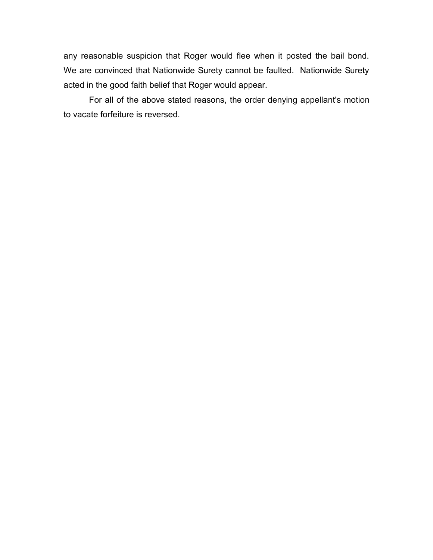any reasonable suspicion that Roger would flee when it posted the bail bond. We are convinced that Nationwide Surety cannot be faulted. Nationwide Surety acted in the good faith belief that Roger would appear.

For all of the above stated reasons, the order denying appellant's motion to vacate forfeiture is reversed.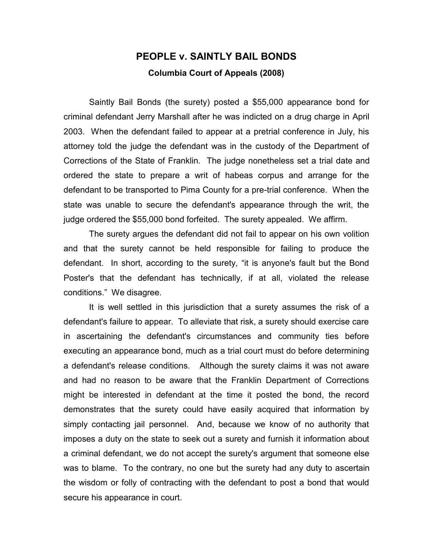## **PEOPLE v. SAINTLY BAIL BONDS Columbia Court of Appeals (2008)**

Saintly Bail Bonds (the surety) posted a \$55,000 appearance bond for criminal defendant Jerry Marshall after he was indicted on a drug charge in April 2003. When the defendant failed to appear at a pretrial conference in July, his attorney told the judge the defendant was in the custody of the Department of Corrections of the State of Franklin. The judge nonetheless set a trial date and ordered the state to prepare a writ of habeas corpus and arrange for the defendant to be transported to Pima County for a pre-trial conference. When the state was unable to secure the defendant's appearance through the writ, the judge ordered the \$55,000 bond forfeited. The surety appealed. We affirm.

The surety argues the defendant did not fail to appear on his own volition and that the surety cannot be held responsible for failing to produce the defendant. In short, according to the surety, "it is anyone's fault but the Bond Poster's that the defendant has technically, if at all, violated the release conditions." We disagree.

It is well settled in this jurisdiction that a surety assumes the risk of a defendant's failure to appear. To alleviate that risk, a surety should exercise care in ascertaining the defendant's circumstances and community ties before executing an appearance bond, much as a trial court must do before determining a defendant's release conditions. Although the surety claims it was not aware and had no reason to be aware that the Franklin Department of Corrections might be interested in defendant at the time it posted the bond, the record demonstrates that the surety could have easily acquired that information by simply contacting jail personnel. And, because we know of no authority that imposes a duty on the state to seek out a surety and furnish it information about a criminal defendant, we do not accept the surety's argument that someone else was to blame. To the contrary, no one but the surety had any duty to ascertain the wisdom or folly of contracting with the defendant to post a bond that would secure his appearance in court.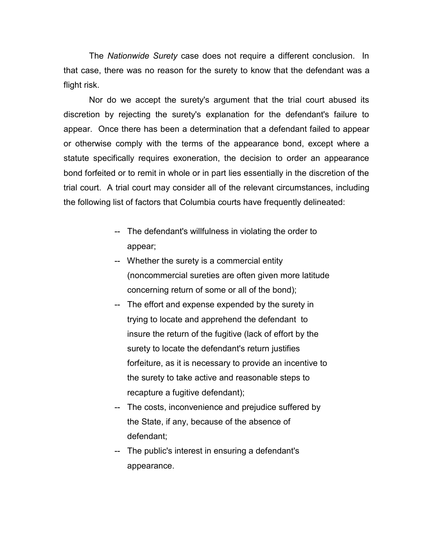The *Nationwide Surety* case does not require a different conclusion. In that case, there was no reason for the surety to know that the defendant was a flight risk.

Nor do we accept the surety's argument that the trial court abused its discretion by rejecting the surety's explanation for the defendant's failure to appear. Once there has been a determination that a defendant failed to appear or otherwise comply with the terms of the appearance bond, except where a statute specifically requires exoneration, the decision to order an appearance bond forfeited or to remit in whole or in part lies essentially in the discretion of the trial court. A trial court may consider all of the relevant circumstances, including the following list of factors that Columbia courts have frequently delineated:

- -- The defendant's willfulness in violating the order to appear;
- -- Whether the surety is a commercial entity (noncommercial sureties are often given more latitude concerning return of some or all of the bond);
- -- The effort and expense expended by the surety in trying to locate and apprehend the defendant to insure the return of the fugitive (lack of effort by the surety to locate the defendant's return justifies forfeiture, as it is necessary to provide an incentive to the surety to take active and reasonable steps to recapture a fugitive defendant);
- -- The costs, inconvenience and prejudice suffered by the State, if any, because of the absence of defendant;
- -- The public's interest in ensuring a defendant's appearance.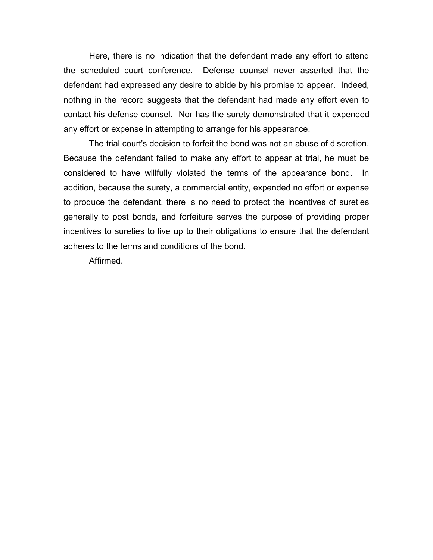Here, there is no indication that the defendant made any effort to attend the scheduled court conference. Defense counsel never asserted that the defendant had expressed any desire to abide by his promise to appear. Indeed, nothing in the record suggests that the defendant had made any effort even to contact his defense counsel. Nor has the surety demonstrated that it expended any effort or expense in attempting to arrange for his appearance.

The trial court's decision to forfeit the bond was not an abuse of discretion. Because the defendant failed to make any effort to appear at trial, he must be considered to have willfully violated the terms of the appearance bond. In addition, because the surety, a commercial entity, expended no effort or expense to produce the defendant, there is no need to protect the incentives of sureties generally to post bonds, and forfeiture serves the purpose of providing proper incentives to sureties to live up to their obligations to ensure that the defendant adheres to the terms and conditions of the bond.

Affirmed.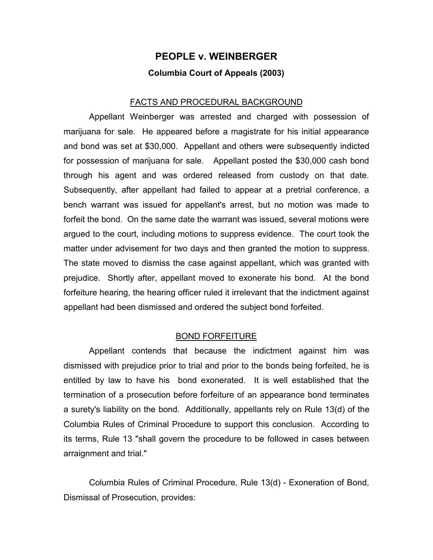## **PEOPLE v. WEINBERGER Columbia Court of Appeals (2003)**

#### FACTS AND PROCEDURAL BACKGROUND

Appellant Weinberger was arrested and charged with possession of marijuana for sale. He appeared before a magistrate for his initial appearance and bond was set at \$30,000. Appellant and others were subsequently indicted for possession of marijuana for sale. Appellant posted the \$30,000 cash bond through his agent and was ordered released from custody on that date. Subsequently, after appellant had failed to appear at a pretrial conference, a bench warrant was issued for appellant's arrest, but no motion was made to forfeit the bond. On the same date the warrant was issued, several motions were argued to the court, including motions to suppress evidence. The court took the matter under advisement for two days and then granted the motion to suppress. The state moved to dismiss the case against appellant, which was granted with prejudice. Shortly after, appellant moved to exonerate his bond. At the bond forfeiture hearing, the hearing officer ruled it irrelevant that the indictment against appellant had been dismissed and ordered the subject bond forfeited.

#### BOND FORFEITURE

Appellant contends that because the indictment against him was dismissed with prejudice prior to trial and prior to the bonds being forfeited, he is entitled by law to have his bond exonerated. It is well established that the termination of a prosecution before forfeiture of an appearance bond terminates a surety's liability on the bond. Additionally, appellants rely on Rule 13(d) of the Columbia Rules of Criminal Procedure to support this conclusion. According to its terms, Rule 13 "shall govern the procedure to be followed in cases between arraignment and trial."

Columbia Rules of Criminal Procedure, Rule 13(d) - Exoneration of Bond, Dismissal of Prosecution, provides: